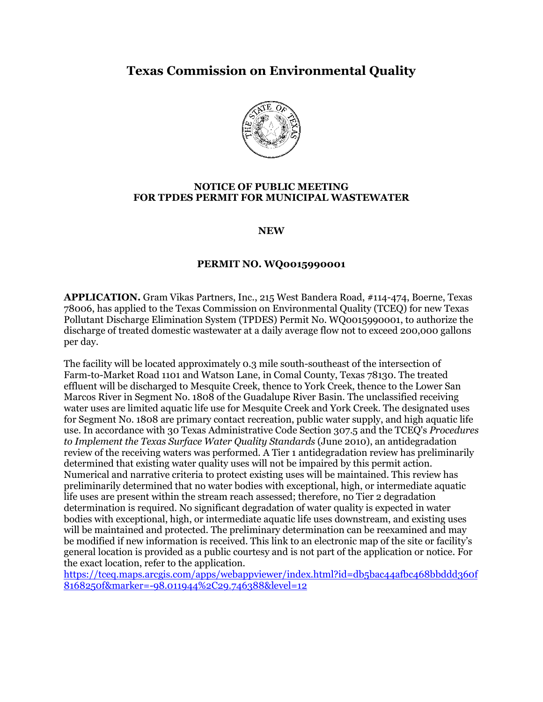## **Texas Commission on Environmental Quality**



## **NOTICE OF PUBLIC MEETING FOR TPDES PERMIT FOR MUNICIPAL WASTEWATER**

**NEW**

## **PERMIT NO. WQ0015990001**

**APPLICATION.** Gram Vikas Partners, Inc., 215 West Bandera Road, #114-474, Boerne, Texas 78006, has applied to the Texas Commission on Environmental Quality (TCEQ) for new Texas Pollutant Discharge Elimination System (TPDES) Permit No. WQ0015990001, to authorize the discharge of treated domestic wastewater at a daily average flow not to exceed 200,000 gallons per day.

The facility will be located approximately 0.3 mile south-southeast of the intersection of Farm-to-Market Road 1101 and Watson Lane, in Comal County, Texas 78130. The treated effluent will be discharged to Mesquite Creek, thence to York Creek, thence to the Lower San Marcos River in Segment No. 1808 of the Guadalupe River Basin. The unclassified receiving water uses are limited aquatic life use for Mesquite Creek and York Creek. The designated uses for Segment No. 1808 are primary contact recreation, public water supply, and high aquatic life use. In accordance with 30 Texas Administrative Code Section 307.5 and the TCEQ's *Procedures to Implement the Texas Surface Water Quality Standards* (June 2010), an antidegradation review of the receiving waters was performed. A Tier 1 antidegradation review has preliminarily determined that existing water quality uses will not be impaired by this permit action. Numerical and narrative criteria to protect existing uses will be maintained. This review has preliminarily determined that no water bodies with exceptional, high, or intermediate aquatic life uses are present within the stream reach assessed; therefore, no Tier 2 degradation determination is required. No significant degradation of water quality is expected in water bodies with exceptional, high, or intermediate aquatic life uses downstream, and existing uses will be maintained and protected. The preliminary determination can be reexamined and may be modified if new information is received. This link to an electronic map of the site or facility's general location is provided as a public courtesy and is not part of the application or notice. For the exact location, refer to the application.

[https://tceq.maps.arcgis.com/apps/webappviewer/index.html?id=db5bac44afbc468bbddd360f](https://tceq.maps.arcgis.com/apps/webappviewer/index.html?id=db5bac44afbc468bbddd360f8168250f&marker=-98.011944%2C29.746388&level=12) [8168250f&marker=-98.011944%2C29.746388&level=12](https://tceq.maps.arcgis.com/apps/webappviewer/index.html?id=db5bac44afbc468bbddd360f8168250f&marker=-98.011944%2C29.746388&level=12)